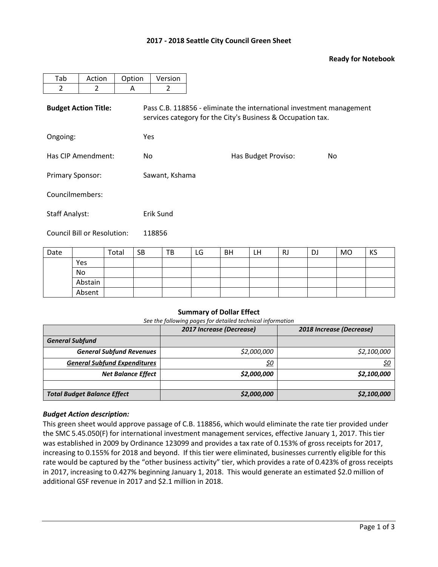# **2017 - 2018 Seattle City Council Green Sheet**

### **Ready for Notebook**

| Tab                         | Action         | Option | Version                                                                                                                             |                     |     |  |  |  |  |
|-----------------------------|----------------|--------|-------------------------------------------------------------------------------------------------------------------------------------|---------------------|-----|--|--|--|--|
| $\overline{2}$              | $\overline{2}$ | A      | 2                                                                                                                                   |                     |     |  |  |  |  |
| <b>Budget Action Title:</b> |                |        | Pass C.B. 118856 - eliminate the international investment management<br>services category for the City's Business & Occupation tax. |                     |     |  |  |  |  |
| Ongoing:                    |                |        | Yes                                                                                                                                 |                     |     |  |  |  |  |
| Has CIP Amendment:          |                | No.    |                                                                                                                                     | Has Budget Proviso: | No. |  |  |  |  |
| <b>Primary Sponsor:</b>     |                |        | Sawant, Kshama                                                                                                                      |                     |     |  |  |  |  |
| Councilmembers:             |                |        |                                                                                                                                     |                     |     |  |  |  |  |
| <b>Staff Analyst:</b>       |                |        | Erik Sund                                                                                                                           |                     |     |  |  |  |  |
| Council Bill or Resolution: |                |        | 118856                                                                                                                              |                     |     |  |  |  |  |

| Date |         | Total | <b>SB</b> | TB | LG | <b>BH</b> | LH | RJ | DJ | MO | KS |
|------|---------|-------|-----------|----|----|-----------|----|----|----|----|----|
|      | Yes     |       |           |    |    |           |    |    |    |    |    |
|      | No      |       |           |    |    |           |    |    |    |    |    |
|      | Abstain |       |           |    |    |           |    |    |    |    |    |
|      | Absent  |       |           |    |    |           |    |    |    |    |    |

### **Summary of Dollar Effect**

*See the following pages for detailed technical information*

|                                     | 2017 Increase (Decrease) | 2018 Increase (Decrease) |  |  |
|-------------------------------------|--------------------------|--------------------------|--|--|
| <b>General Subfund</b>              |                          |                          |  |  |
| <b>General Subfund Revenues</b>     | \$2,000,000              | \$2,100,000              |  |  |
| <b>General Subfund Expenditures</b> | <u>\$0</u>               | \$0                      |  |  |
| <b>Net Balance Effect</b>           | \$2,000,000              | \$2,100,000              |  |  |
|                                     |                          |                          |  |  |
| <b>Total Budget Balance Effect</b>  | \$2,000,000              | \$2,100,000              |  |  |

### *Budget Action description:*

This green sheet would approve passage of C.B. 118856, which would eliminate the rate tier provided under the SMC 5.45.050(F) for international investment management services, effective January 1, 2017. This tier was established in 2009 by Ordinance 123099 and provides a tax rate of 0.153% of gross receipts for 2017, increasing to 0.155% for 2018 and beyond. If this tier were eliminated, businesses currently eligible for this rate would be captured by the "other business activity" tier, which provides a rate of 0.423% of gross receipts in 2017, increasing to 0.427% beginning January 1, 2018. This would generate an estimated \$2.0 million of additional GSF revenue in 2017 and \$2.1 million in 2018.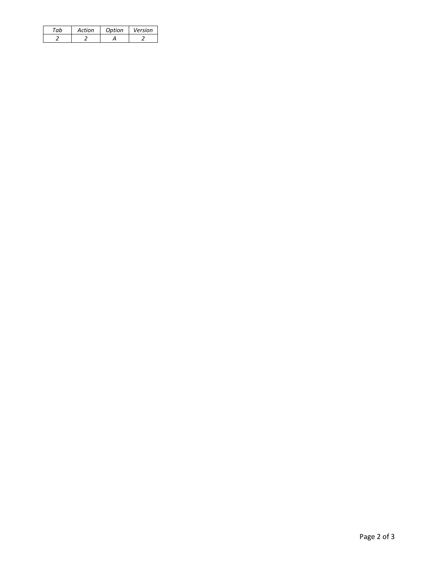| Action | Option | Version |
|--------|--------|---------|
|        |        |         |